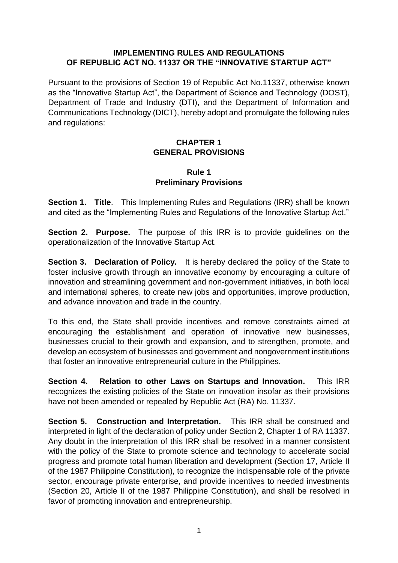### **IMPLEMENTING RULES AND REGULATIONS OF REPUBLIC ACT NO. 11337 OR THE "INNOVATIVE STARTUP ACT"**

Pursuant to the provisions of Section 19 of Republic Act No.11337, otherwise known as the "Innovative Startup Act", the Department of Science and Technology (DOST), Department of Trade and Industry (DTI), and the Department of Information and Communications Technology (DICT), hereby adopt and promulgate the following rules and regulations:

### **CHAPTER 1 GENERAL PROVISIONS**

### **Rule 1 Preliminary Provisions**

**Section 1. Title.** This Implementing Rules and Regulations (IRR) shall be known and cited as the "Implementing Rules and Regulations of the Innovative Startup Act."

**Section 2. Purpose.** The purpose of this IRR is to provide guidelines on the operationalization of the Innovative Startup Act.

**Section 3. Declaration of Policy.** It is hereby declared the policy of the State to foster inclusive growth through an innovative economy by encouraging a culture of innovation and streamlining government and non-government initiatives, in both local and international spheres, to create new jobs and opportunities, improve production, and advance innovation and trade in the country.

To this end, the State shall provide incentives and remove constraints aimed at encouraging the establishment and operation of innovative new businesses, businesses crucial to their growth and expansion, and to strengthen, promote, and develop an ecosystem of businesses and government and nongovernment institutions that foster an innovative entrepreneurial culture in the Philippines.

**Section 4. Relation to other Laws on Startups and Innovation.** This IRR recognizes the existing policies of the State on innovation insofar as their provisions have not been amended or repealed by Republic Act (RA) No. 11337.

**Section 5. Construction and Interpretation.** This IRR shall be construed and interpreted in light of the declaration of policy under Section 2, Chapter 1 of RA 11337. Any doubt in the interpretation of this IRR shall be resolved in a manner consistent with the policy of the State to promote science and technology to accelerate social progress and promote total human liberation and development (Section 17, Article II of the 1987 Philippine Constitution), to recognize the indispensable role of the private sector, encourage private enterprise, and provide incentives to needed investments (Section 20, Article II of the 1987 Philippine Constitution), and shall be resolved in favor of promoting innovation and entrepreneurship.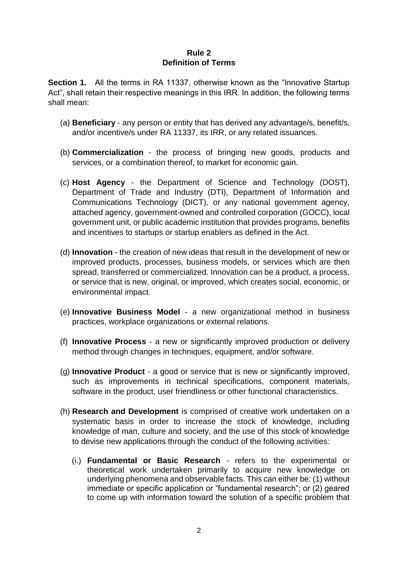#### **Rule 2 Definition of Terms**

**Section 1.** All the terms in RA 11337, otherwise known as the "Innovative Startup Act", shall retain their respective meanings in this IRR. In addition, the following terms shall mean:

- (a) **Beneficiary**  any person or entity that has derived any advantage/s, benefit/s, and/or incentive/s under RA 11337, its IRR, or any related issuances.
- (b) **Commercialization**  the process of bringing new goods, products and services, or a combination thereof, to market for economic gain.
- (c) **Host Agency**  the Department of Science and Technology (DOST), Department of Trade and Industry (DTI), Department of Information and Communications Technology (DICT), or any national government agency, attached agency, government-owned and controlled corporation (GOCC), local government unit, or public academic institution that provides programs, benefits and incentives to startups or startup enablers as defined in the Act.
- (d) **Innovation** the creation of new ideas that result in the development of new or improved products, processes, business models, or services which are then spread, transferred or commercialized. Innovation can be a product, a process, or service that is new, original, or improved, which creates social, economic, or environmental impact.
- (e) **Innovative Business Model** a new organizational method in business practices, workplace organizations or external relations.
- (f) **Innovative Process** a new or significantly improved production or delivery method through changes in techniques, equipment, and/or software.
- (g) **Innovative Product** a good or service that is new or significantly improved, such as improvements in technical specifications, component materials, software in the product, user friendliness or other functional characteristics.
- (h) **Research and Development** is comprised of creative work undertaken on a systematic basis in order to increase the stock of knowledge, including knowledge of man, culture and society, and the use of this stock of knowledge to devise new applications through the conduct of the following activities:
	- (i.) **Fundamental or Basic Research** refers to the experimental or theoretical work undertaken primarily to acquire new knowledge on underlying phenomena and observable facts. This can either be: (1) without immediate or specific application or "fundamental research"; or (2) geared to come up with information toward the solution of a specific problem that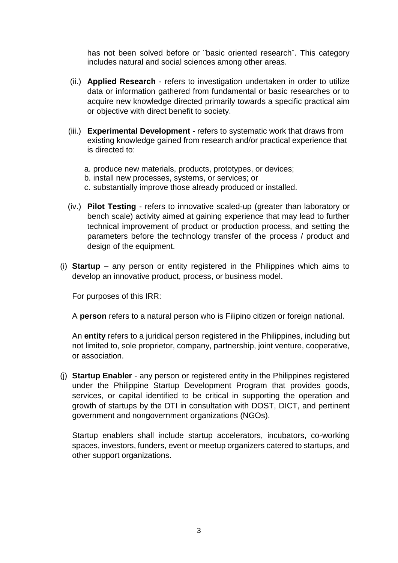has not been solved before or ¨basic oriented research¨. This category includes natural and social sciences among other areas.

- (ii.) **Applied Research** refers to investigation undertaken in order to utilize data or information gathered from fundamental or basic researches or to acquire new knowledge directed primarily towards a specific practical aim or objective with direct benefit to society.
- (iii.) **Experimental Development** refers to systematic work that draws from existing knowledge gained from research and/or practical experience that is directed to:
	- a. produce new materials, products, prototypes, or devices;
	- b. install new processes, systems, or services; or
	- c. substantially improve those already produced or installed.
- (iv.) **Pilot Testing** refers to innovative scaled-up (greater than laboratory or bench scale) activity aimed at gaining experience that may lead to further technical improvement of product or production process, and setting the parameters before the technology transfer of the process / product and design of the equipment.
- (i) **Startup** any person or entity registered in the Philippines which aims to develop an innovative product, process, or business model.

For purposes of this IRR:

A **person** refers to a natural person who is Filipino citizen or foreign national.

An **entity** refers to a juridical person registered in the Philippines, including but not limited to, sole proprietor, company, partnership, joint venture, cooperative, or association.

(j) **Startup Enabler** - any person or registered entity in the Philippines registered under the Philippine Startup Development Program that provides goods, services, or capital identified to be critical in supporting the operation and growth of startups by the DTI in consultation with DOST, DICT, and pertinent government and nongovernment organizations (NGOs).

Startup enablers shall include startup accelerators, incubators, co-working spaces, investors, funders, event or meetup organizers catered to startups, and other support organizations.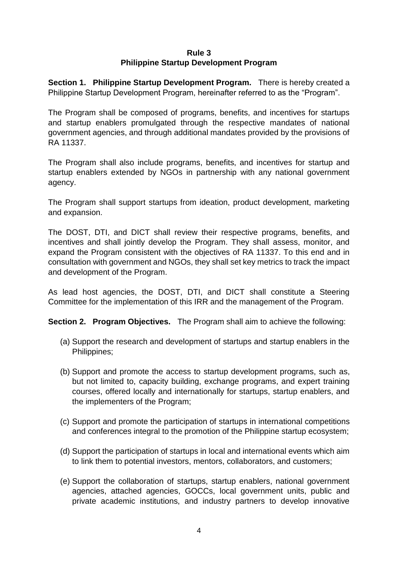#### **Rule 3 Philippine Startup Development Program**

**Section 1. Philippine Startup Development Program.** There is hereby created a Philippine Startup Development Program, hereinafter referred to as the "Program".

The Program shall be composed of programs, benefits, and incentives for startups and startup enablers promulgated through the respective mandates of national government agencies, and through additional mandates provided by the provisions of RA 11337.

The Program shall also include programs, benefits, and incentives for startup and startup enablers extended by NGOs in partnership with any national government agency.

The Program shall support startups from ideation, product development, marketing and expansion.

The DOST, DTI, and DICT shall review their respective programs, benefits, and incentives and shall jointly develop the Program. They shall assess, monitor, and expand the Program consistent with the objectives of RA 11337. To this end and in consultation with government and NGOs, they shall set key metrics to track the impact and development of the Program.

As lead host agencies, the DOST, DTI, and DICT shall constitute a Steering Committee for the implementation of this IRR and the management of the Program.

**Section 2. Program Objectives.** The Program shall aim to achieve the following:

- (a) Support the research and development of startups and startup enablers in the Philippines;
- (b) Support and promote the access to startup development programs, such as, but not limited to, capacity building, exchange programs, and expert training courses, offered locally and internationally for startups, startup enablers, and the implementers of the Program;
- (c) Support and promote the participation of startups in international competitions and conferences integral to the promotion of the Philippine startup ecosystem;
- (d) Support the participation of startups in local and international events which aim to link them to potential investors, mentors, collaborators, and customers;
- (e) Support the collaboration of startups, startup enablers, national government agencies, attached agencies, GOCCs, local government units, public and private academic institutions, and industry partners to develop innovative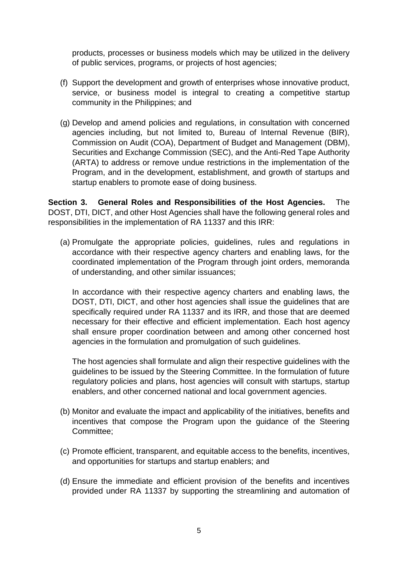products, processes or business models which may be utilized in the delivery of public services, programs, or projects of host agencies;

- (f) Support the development and growth of enterprises whose innovative product, service, or business model is integral to creating a competitive startup community in the Philippines; and
- (g) Develop and amend policies and regulations, in consultation with concerned agencies including, but not limited to, Bureau of Internal Revenue (BIR), Commission on Audit (COA), Department of Budget and Management (DBM), Securities and Exchange Commission (SEC), and the Anti-Red Tape Authority (ARTA) to address or remove undue restrictions in the implementation of the Program, and in the development, establishment, and growth of startups and startup enablers to promote ease of doing business.

**Section 3. General Roles and Responsibilities of the Host Agencies.** The DOST, DTI, DICT, and other Host Agencies shall have the following general roles and responsibilities in the implementation of RA 11337 and this IRR:

(a) Promulgate the appropriate policies, guidelines, rules and regulations in accordance with their respective agency charters and enabling laws, for the coordinated implementation of the Program through joint orders, memoranda of understanding, and other similar issuances;

In accordance with their respective agency charters and enabling laws, the DOST, DTI, DICT, and other host agencies shall issue the guidelines that are specifically required under RA 11337 and its IRR, and those that are deemed necessary for their effective and efficient implementation. Each host agency shall ensure proper coordination between and among other concerned host agencies in the formulation and promulgation of such guidelines.

The host agencies shall formulate and align their respective guidelines with the guidelines to be issued by the Steering Committee. In the formulation of future regulatory policies and plans, host agencies will consult with startups, startup enablers, and other concerned national and local government agencies.

- (b) Monitor and evaluate the impact and applicability of the initiatives, benefits and incentives that compose the Program upon the guidance of the Steering Committee;
- (c) Promote efficient, transparent, and equitable access to the benefits, incentives, and opportunities for startups and startup enablers; and
- (d) Ensure the immediate and efficient provision of the benefits and incentives provided under RA 11337 by supporting the streamlining and automation of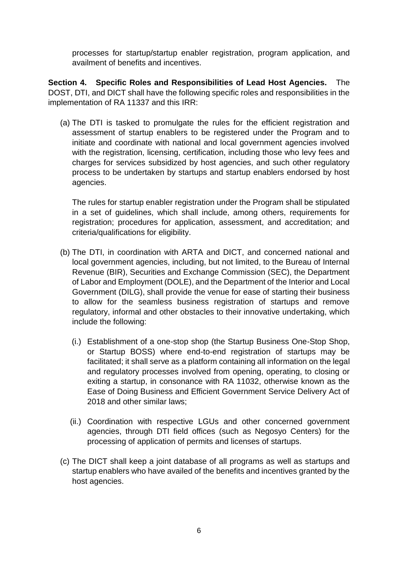processes for startup/startup enabler registration, program application, and availment of benefits and incentives.

**Section 4. Specific Roles and Responsibilities of Lead Host Agencies.** The DOST, DTI, and DICT shall have the following specific roles and responsibilities in the implementation of RA 11337 and this IRR:

(a) The DTI is tasked to promulgate the rules for the efficient registration and assessment of startup enablers to be registered under the Program and to initiate and coordinate with national and local government agencies involved with the registration, licensing, certification, including those who levy fees and charges for services subsidized by host agencies, and such other regulatory process to be undertaken by startups and startup enablers endorsed by host agencies.

The rules for startup enabler registration under the Program shall be stipulated in a set of guidelines, which shall include, among others, requirements for registration; procedures for application, assessment, and accreditation; and criteria/qualifications for eligibility.

- (b) The DTI, in coordination with ARTA and DICT, and concerned national and local government agencies, including, but not limited, to the Bureau of Internal Revenue (BIR), Securities and Exchange Commission (SEC), the Department of Labor and Employment (DOLE), and the Department of the Interior and Local Government (DILG), shall provide the venue for ease of starting their business to allow for the seamless business registration of startups and remove regulatory, informal and other obstacles to their innovative undertaking, which include the following:
	- (i.) Establishment of a one-stop shop (the Startup Business One-Stop Shop, or Startup BOSS) where end-to-end registration of startups may be facilitated; it shall serve as a platform containing all information on the legal and regulatory processes involved from opening, operating, to closing or exiting a startup, in consonance with RA 11032, otherwise known as the Ease of Doing Business and Efficient Government Service Delivery Act of 2018 and other similar laws;
	- (ii.) Coordination with respective LGUs and other concerned government agencies, through DTI field offices (such as Negosyo Centers) for the processing of application of permits and licenses of startups.
- (c) The DICT shall keep a joint database of all programs as well as startups and startup enablers who have availed of the benefits and incentives granted by the host agencies.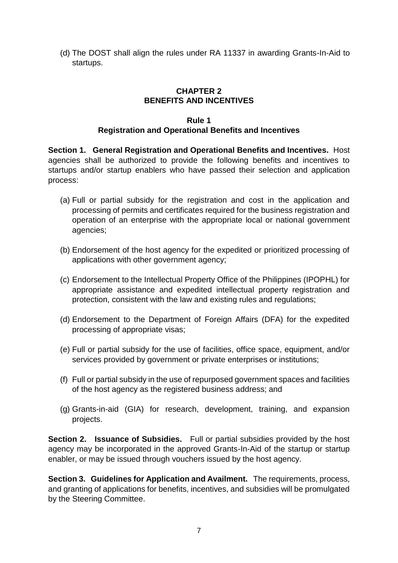(d) The DOST shall align the rules under RA 11337 in awarding Grants-In-Aid to startups.

## **CHAPTER 2 BENEFITS AND INCENTIVES**

## **Rule 1 Registration and Operational Benefits and Incentives**

**Section 1. General Registration and Operational Benefits and Incentives.** Host agencies shall be authorized to provide the following benefits and incentives to startups and/or startup enablers who have passed their selection and application process:

- (a) Full or partial subsidy for the registration and cost in the application and processing of permits and certificates required for the business registration and operation of an enterprise with the appropriate local or national government agencies;
- (b) Endorsement of the host agency for the expedited or prioritized processing of applications with other government agency;
- (c) Endorsement to the Intellectual Property Office of the Philippines (IPOPHL) for appropriate assistance and expedited intellectual property registration and protection, consistent with the law and existing rules and regulations;
- (d) Endorsement to the Department of Foreign Affairs (DFA) for the expedited processing of appropriate visas;
- (e) Full or partial subsidy for the use of facilities, office space, equipment, and/or services provided by government or private enterprises or institutions;
- (f) Full or partial subsidy in the use of repurposed government spaces and facilities of the host agency as the registered business address; and
- (g) Grants-in-aid (GIA) for research, development, training, and expansion projects.

**Section 2. Issuance of Subsidies.** Full or partial subsidies provided by the host agency may be incorporated in the approved Grants-In-Aid of the startup or startup enabler, or may be issued through vouchers issued by the host agency.

**Section 3. Guidelines for Application and Availment.** The requirements, process, and granting of applications for benefits, incentives, and subsidies will be promulgated by the Steering Committee.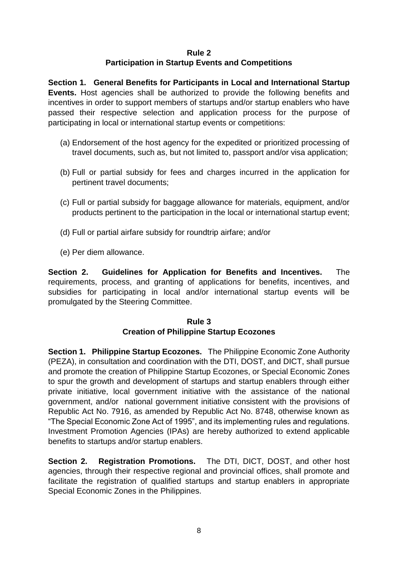### **Rule 2**

# **Participation in Startup Events and Competitions**

**Section 1. General Benefits for Participants in Local and International Startup Events.** Host agencies shall be authorized to provide the following benefits and incentives in order to support members of startups and/or startup enablers who have passed their respective selection and application process for the purpose of participating in local or international startup events or competitions:

- (a) Endorsement of the host agency for the expedited or prioritized processing of travel documents, such as, but not limited to, passport and/or visa application;
- (b) Full or partial subsidy for fees and charges incurred in the application for pertinent travel documents;
- (c) Full or partial subsidy for baggage allowance for materials, equipment, and/or products pertinent to the participation in the local or international startup event;
- (d) Full or partial airfare subsidy for roundtrip airfare; and/or
- (e) Per diem allowance.

**Section 2. Guidelines for Application for Benefits and Incentives.** The requirements, process, and granting of applications for benefits, incentives, and subsidies for participating in local and/or international startup events will be promulgated by the Steering Committee.

#### **Rule 3 Creation of Philippine Startup Ecozones**

**Section 1. Philippine Startup Ecozones.** The Philippine Economic Zone Authority (PEZA), in consultation and coordination with the DTI, DOST, and DICT, shall pursue and promote the creation of Philippine Startup Ecozones, or Special Economic Zones to spur the growth and development of startups and startup enablers through either private initiative, local government initiative with the assistance of the national government, and/or national government initiative consistent with the provisions of Republic Act No. 7916, as amended by Republic Act No. 8748, otherwise known as "The Special Economic Zone Act of 1995", and its implementing rules and regulations. Investment Promotion Agencies (IPAs) are hereby authorized to extend applicable benefits to startups and/or startup enablers.

**Section 2. Registration Promotions.** The DTI, DICT, DOST, and other host agencies, through their respective regional and provincial offices, shall promote and facilitate the registration of qualified startups and startup enablers in appropriate Special Economic Zones in the Philippines.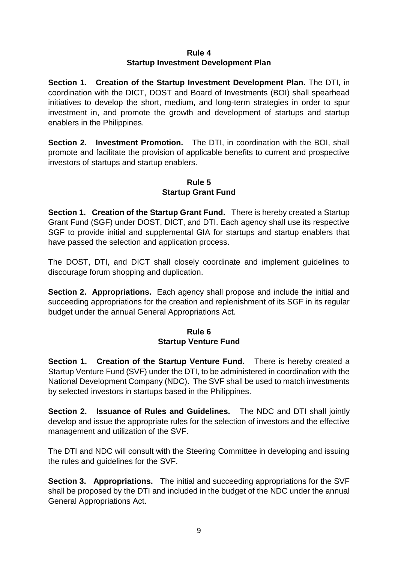#### **Rule 4 Startup Investment Development Plan**

**Section 1. Creation of the Startup Investment Development Plan.** The DTI, in coordination with the DICT, DOST and Board of Investments (BOI) shall spearhead initiatives to develop the short, medium, and long-term strategies in order to spur investment in, and promote the growth and development of startups and startup enablers in the Philippines.

**Section 2. Investment Promotion.** The DTI, in coordination with the BOI, shall promote and facilitate the provision of applicable benefits to current and prospective investors of startups and startup enablers.

# **Rule 5 Startup Grant Fund**

**Section 1. Creation of the Startup Grant Fund.** There is hereby created a Startup Grant Fund (SGF) under DOST, DICT, and DTI. Each agency shall use its respective SGF to provide initial and supplemental GIA for startups and startup enablers that have passed the selection and application process.

The DOST, DTI, and DICT shall closely coordinate and implement guidelines to discourage forum shopping and duplication.

**Section 2. Appropriations.** Each agency shall propose and include the initial and succeeding appropriations for the creation and replenishment of its SGF in its regular budget under the annual General Appropriations Act.

### **Rule 6 Startup Venture Fund**

**Section 1. Creation of the Startup Venture Fund.** There is hereby created a Startup Venture Fund (SVF) under the DTI, to be administered in coordination with the National Development Company (NDC). The SVF shall be used to match investments by selected investors in startups based in the Philippines.

**Section 2. Issuance of Rules and Guidelines.** The NDC and DTI shall jointly develop and issue the appropriate rules for the selection of investors and the effective management and utilization of the SVF.

The DTI and NDC will consult with the Steering Committee in developing and issuing the rules and guidelines for the SVF.

**Section 3. Appropriations.** The initial and succeeding appropriations for the SVF shall be proposed by the DTI and included in the budget of the NDC under the annual General Appropriations Act.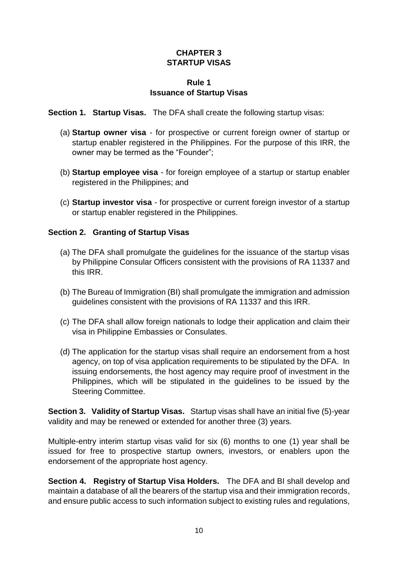# **CHAPTER 3 STARTUP VISAS**

### **Rule 1 Issuance of Startup Visas**

**Section 1. Startup Visas.** The DFA shall create the following startup visas:

- (a) **Startup owner visa** for prospective or current foreign owner of startup or startup enabler registered in the Philippines. For the purpose of this IRR, the owner may be termed as the "Founder";
- (b) **Startup employee visa** for foreign employee of a startup or startup enabler registered in the Philippines; and
- (c) **Startup investor visa** for prospective or current foreign investor of a startup or startup enabler registered in the Philippines.

## **Section 2. Granting of Startup Visas**

- (a) The DFA shall promulgate the guidelines for the issuance of the startup visas by Philippine Consular Officers consistent with the provisions of RA 11337 and this IRR.
- (b) The Bureau of Immigration (BI) shall promulgate the immigration and admission guidelines consistent with the provisions of RA 11337 and this IRR.
- (c) The DFA shall allow foreign nationals to lodge their application and claim their visa in Philippine Embassies or Consulates.
- (d) The application for the startup visas shall require an endorsement from a host agency, on top of visa application requirements to be stipulated by the DFA. In issuing endorsements, the host agency may require proof of investment in the Philippines, which will be stipulated in the guidelines to be issued by the Steering Committee.

**Section 3. Validity of Startup Visas.** Startup visas shall have an initial five (5)-year validity and may be renewed or extended for another three (3) years.

Multiple-entry interim startup visas valid for six (6) months to one (1) year shall be issued for free to prospective startup owners, investors, or enablers upon the endorsement of the appropriate host agency.

**Section 4. Registry of Startup Visa Holders.** The DFA and BI shall develop and maintain a database of all the bearers of the startup visa and their immigration records, and ensure public access to such information subject to existing rules and regulations,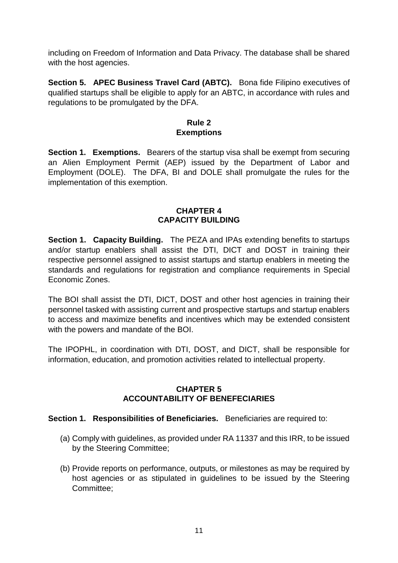including on Freedom of Information and Data Privacy. The database shall be shared with the host agencies.

**Section 5. APEC Business Travel Card (ABTC).** Bona fide Filipino executives of qualified startups shall be eligible to apply for an ABTC, in accordance with rules and regulations to be promulgated by the DFA.

### **Rule 2 Exemptions**

**Section 1. Exemptions.** Bearers of the startup visa shall be exempt from securing an Alien Employment Permit (AEP) issued by the Department of Labor and Employment (DOLE). The DFA, BI and DOLE shall promulgate the rules for the implementation of this exemption.

### **CHAPTER 4 CAPACITY BUILDING**

**Section 1. Capacity Building.** The PEZA and IPAs extending benefits to startups and/or startup enablers shall assist the DTI, DICT and DOST in training their respective personnel assigned to assist startups and startup enablers in meeting the standards and regulations for registration and compliance requirements in Special Economic Zones.

The BOI shall assist the DTI, DICT, DOST and other host agencies in training their personnel tasked with assisting current and prospective startups and startup enablers to access and maximize benefits and incentives which may be extended consistent with the powers and mandate of the BOI.

The IPOPHL, in coordination with DTI, DOST, and DICT, shall be responsible for information, education, and promotion activities related to intellectual property.

## **CHAPTER 5 ACCOUNTABILITY OF BENEFECIARIES**

## **Section 1. Responsibilities of Beneficiaries.** Beneficiaries are required to:

- (a) Comply with guidelines, as provided under RA 11337 and this IRR, to be issued by the Steering Committee;
- (b) Provide reports on performance, outputs, or milestones as may be required by host agencies or as stipulated in guidelines to be issued by the Steering Committee;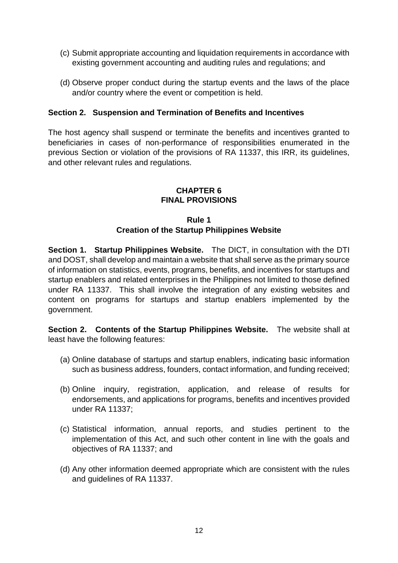- (c) Submit appropriate accounting and liquidation requirements in accordance with existing government accounting and auditing rules and regulations; and
- (d) Observe proper conduct during the startup events and the laws of the place and/or country where the event or competition is held.

### **Section 2. Suspension and Termination of Benefits and Incentives**

The host agency shall suspend or terminate the benefits and incentives granted to beneficiaries in cases of non-performance of responsibilities enumerated in the previous Section or violation of the provisions of RA 11337, this IRR, its guidelines, and other relevant rules and regulations.

### **CHAPTER 6 FINAL PROVISIONS**

### **Rule 1 Creation of the Startup Philippines Website**

**Section 1. Startup Philippines Website.** The DICT, in consultation with the DTI and DOST, shall develop and maintain a website that shall serve as the primary source of information on statistics, events, programs, benefits, and incentives for startups and startup enablers and related enterprises in the Philippines not limited to those defined under RA 11337. This shall involve the integration of any existing websites and content on programs for startups and startup enablers implemented by the government.

**Section 2. Contents of the Startup Philippines Website.** The website shall at least have the following features:

- (a) Online database of startups and startup enablers, indicating basic information such as business address, founders, contact information, and funding received;
- (b) Online inquiry, registration, application, and release of results for endorsements, and applications for programs, benefits and incentives provided under RA 11337;
- (c) Statistical information, annual reports, and studies pertinent to the implementation of this Act, and such other content in line with the goals and objectives of RA 11337; and
- (d) Any other information deemed appropriate which are consistent with the rules and guidelines of RA 11337.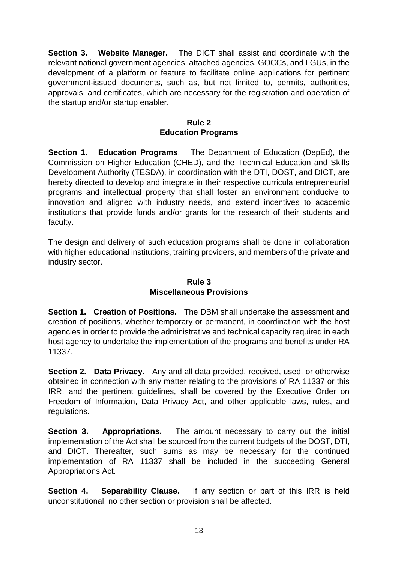**Section 3. Website Manager.** The DICT shall assist and coordinate with the relevant national government agencies, attached agencies, GOCCs, and LGUs, in the development of a platform or feature to facilitate online applications for pertinent government-issued documents, such as, but not limited to, permits, authorities, approvals, and certificates, which are necessary for the registration and operation of the startup and/or startup enabler.

### **Rule 2 Education Programs**

**Section 1. Education Programs**. The Department of Education (DepEd), the Commission on Higher Education (CHED), and the Technical Education and Skills Development Authority (TESDA), in coordination with the DTI, DOST, and DICT, are hereby directed to develop and integrate in their respective curricula entrepreneurial programs and intellectual property that shall foster an environment conducive to innovation and aligned with industry needs, and extend incentives to academic institutions that provide funds and/or grants for the research of their students and faculty.

The design and delivery of such education programs shall be done in collaboration with higher educational institutions, training providers, and members of the private and industry sector.

### **Rule 3 Miscellaneous Provisions**

**Section 1. Creation of Positions.** The DBM shall undertake the assessment and creation of positions, whether temporary or permanent, in coordination with the host agencies in order to provide the administrative and technical capacity required in each host agency to undertake the implementation of the programs and benefits under RA 11337.

**Section 2. Data Privacy.** Any and all data provided, received, used, or otherwise obtained in connection with any matter relating to the provisions of RA 11337 or this IRR, and the pertinent guidelines, shall be covered by the Executive Order on Freedom of Information, Data Privacy Act, and other applicable laws, rules, and regulations.

**Section 3. Appropriations.** The amount necessary to carry out the initial implementation of the Act shall be sourced from the current budgets of the DOST, DTI, and DICT. Thereafter, such sums as may be necessary for the continued implementation of RA 11337 shall be included in the succeeding General Appropriations Act.

**Section 4. Separability Clause.** If any section or part of this IRR is held unconstitutional, no other section or provision shall be affected.